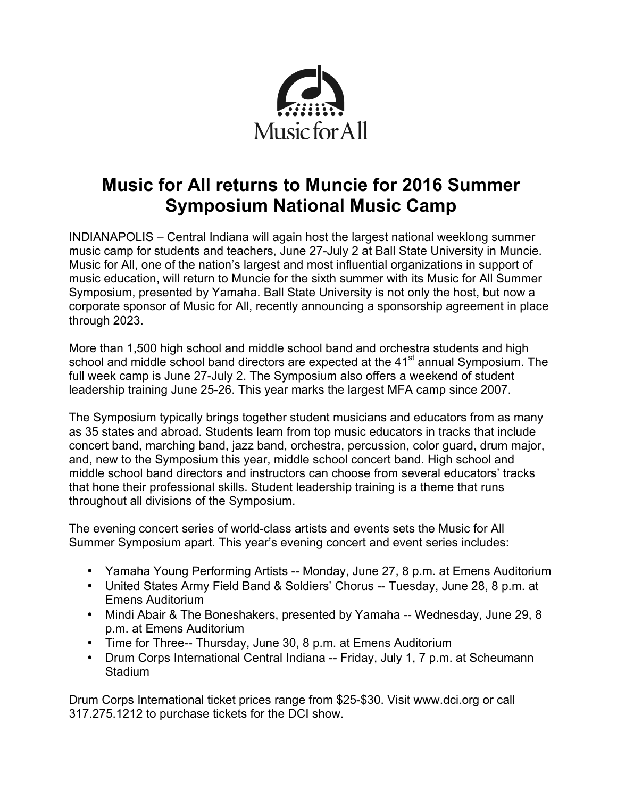

# **Music for All returns to Muncie for 2016 Summer Symposium National Music Camp**

INDIANAPOLIS – Central Indiana will again host the largest national weeklong summer music camp for students and teachers, June 27-July 2 at Ball State University in Muncie. Music for All, one of the nation's largest and most influential organizations in support of music education, will return to Muncie for the sixth summer with its Music for All Summer Symposium, presented by Yamaha. Ball State University is not only the host, but now a corporate sponsor of Music for All, recently announcing a sponsorship agreement in place through 2023.

More than 1,500 high school and middle school band and orchestra students and high school and middle school band directors are expected at the 41<sup>st</sup> annual Symposium. The full week camp is June 27-July 2. The Symposium also offers a weekend of student leadership training June 25-26. This year marks the largest MFA camp since 2007.

The Symposium typically brings together student musicians and educators from as many as 35 states and abroad. Students learn from top music educators in tracks that include concert band, marching band, jazz band, orchestra, percussion, color guard, drum major, and, new to the Symposium this year, middle school concert band. High school and middle school band directors and instructors can choose from several educators' tracks that hone their professional skills. Student leadership training is a theme that runs throughout all divisions of the Symposium.

The evening concert series of world-class artists and events sets the Music for All Summer Symposium apart. This year's evening concert and event series includes:

- Yamaha Young Performing Artists -- Monday, June 27, 8 p.m. at Emens Auditorium
- United States Army Field Band & Soldiers' Chorus -- Tuesday, June 28, 8 p.m. at Emens Auditorium
- Mindi Abair & The Boneshakers, presented by Yamaha -- Wednesday, June 29, 8 p.m. at Emens Auditorium
- Time for Three-- Thursday, June 30, 8 p.m. at Emens Auditorium
- Drum Corps International Central Indiana -- Friday, July 1, 7 p.m. at Scheumann **Stadium**

Drum Corps International ticket prices range from \$25-\$30. Visit www.dci.org or call 317.275.1212 to purchase tickets for the DCI show.